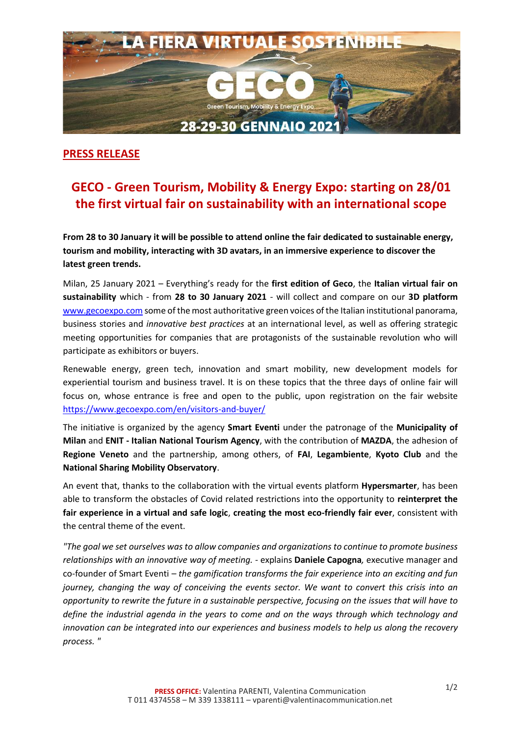

## **PRESS RELEASE**

## **GECO - Green Tourism, Mobility & Energy Expo: starting on 28/01 the first virtual fair on sustainability with an international scope**

**From 28 to 30 January it will be possible to attend online the fair dedicated to sustainable energy, tourism and mobility, interacting with 3D avatars, in an immersive experience to discover the latest green trends.**

Milan, 25 January 2021 – Everything's ready for the **first edition of Geco**, the **Italian virtual fair on sustainability** which - from **28 to 30 January 2021** - will collect and compare on our **3D platform** [www.gecoexpo.com](http://www.gecoexpo.com/) some of the most authoritative green voices of the Italian institutional panorama, business stories and *innovative best practices* at an international level, as well as offering strategic meeting opportunities for companies that are protagonists of the sustainable revolution who will participate as exhibitors or buyers.

Renewable energy, green tech, innovation and smart mobility, new development models for experiential tourism and business travel. It is on these topics that the three days of online fair will focus on, whose entrance is free and open to the public, upon registration on the fair website <https://www.gecoexpo.com/en/visitors-and-buyer/>

The initiative is organized by the agency **Smart Eventi** under the patronage of the **Municipality of Milan** and **ENIT - Italian National Tourism Agency**, with the contribution of **MAZDA**, the adhesion of **Regione Veneto** and the partnership, among others, of **FAI**, **Legambiente**, **Kyoto Club** and the **National Sharing Mobility Observatory**.

An event that, thanks to the collaboration with the virtual events platform **Hypersmarter**, has been able to transform the obstacles of Covid related restrictions into the opportunity to **reinterpret the fair experience in a virtual and safe logic**, **creating the most eco-friendly fair ever**, consistent with the central theme of the event.

*"The goal we set ourselves was to allow companies and organizations to continue to promote business relationships with an innovative way of meeting. -* explains **Daniele Capogna***,* executive manager and co-founder of Smart Eventi *– the gamification transforms the fair experience into an exciting and fun journey, changing the way of conceiving the events sector. We want to convert this crisis into an opportunity to rewrite the future in a sustainable perspective, focusing on the issues that will have to define the industrial agenda in the years to come and on the ways through which technology and innovation can be integrated into our experiences and business models to help us along the recovery process. "*